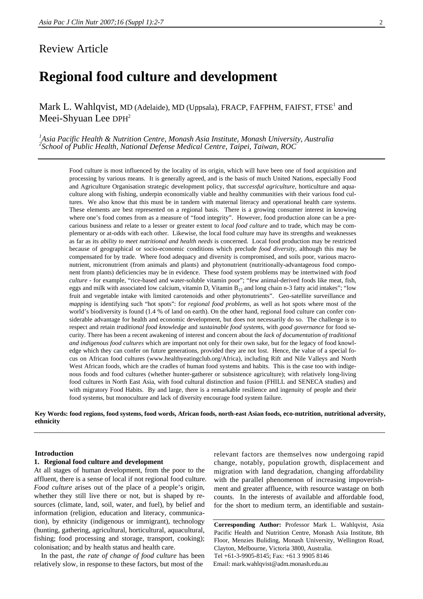# Review Article

# **Regional food culture and development**

Mark L. Wahlqvist, MD (Adelaide), MD (Uppsala), FRACP, FAFPHM, FAIFST, FTSE<sup>1</sup> and Meei-Shyuan Lee DPH<sup>2</sup>

<sup>1</sup> Asia Pacific Health & Nutrition Centre, Monash Asia Institute, Monash University, Australia<br><sup>2</sup> Sebecl of Public Health, National Defense Mediael Centre, Tainei, Taiwan, POC *School of Public Health, National Defense Medical Centre, Taipei, Taiwan, ROC* 

> Food culture is most influenced by the locality of its origin, which will have been one of food acquisition and processing by various means. It is generally agreed, and is the basis of much United Nations, especially Food and Agriculture Organisation strategic development policy, that *successful agriculture*, horticulture and aquaculture along with fishing, underpin economically viable and healthy communities with their various food cultures. We also know that this must be in tandem with maternal literacy and operational health care systems. These elements are best represented on a regional basis. There is a growing consumer interest in knowing where one's food comes from as a measure of "food integrity". However, food production alone can be a precarious business and relate to a lesser or greater extent to *local food culture* and to trade, which may be complementary or at-odds with each other. Likewise, the local food culture may have its strengths and weaknesses as far as its *ability to meet nutritional and health needs* is concerned. Local food production may be restricted because of geographical or socio-economic conditions which preclude *food diversity*, although this may be compensated for by trade. Where food adequacy and diversity is compromised, and soils poor, various macronutrient, micronutrient (from animals and plants) and phytonutrient (nutritionally-advantageous food component from plants) deficiencies may be in evidence. These food system problems may be intertwined with *food culture* - for example, "rice-based and water-soluble vitamin poor"; "few animal-derived foods like meat, fish, eggs and milk with associated low calcium, vitamin D, Vitamin  $B_{12}$  and long chain n-3 fatty acid intakes"; "low fruit and vegetable intake with limited carotenoids and other phytonutrients". Geo-satellite surveillance and *mapping* is identifying such "hot spots": for *regional food problems,* as well as hot spots where most of the world's biodiversity is found (1.4 % of land on earth). On the other hand, regional food culture can confer considerable advantage for health and economic development, but does not necessarily do so. The challenge is to respect and retain *traditional food knowledge* and *sustainable food systems*, with *good governance* for food security*.* There has been a recent awakening of interest and concern about the *lack of documentation of traditional and indigenous food cultures* which are important not only for their own sake, but for the legacy of food knowledge which they can confer on future generations, provided they are not lost. Hence, the value of a special focus on African food cultures (www.healthyeatingclub.org/Africa), including Rift and Nile Valleys and North West African foods, which are the cradles of human food systems and habits. This is the case too with indigenous foods and food cultures (whether hunter-gatherer or subsistence agriculture); with relatively long-living food cultures in North East Asia, with food cultural distinction and fusion (FHILL and SENECA studies) and with migratory Food Habits. By and large, there is a remarkable resilience and ingenuity of people and their food systems, but monoculture and lack of diversity encourage food system failure.

**Key Words: food regions, food systems, food words, African foods, north-east Asian foods, eco-nutrition, nutritional adversity, ethnicity** 

### **Introduction**

## **1. Regional food culture and development**

At all stages of human development, from the poor to the affluent, there is a sense of local if not regional food culture. *Food culture* arises out of the place of a people's origin, whether they still live there or not, but is shaped by resources (climate, land, soil, water, and fuel), by belief and information (religion, education and literacy, communication), by ethnicity (indigenous or immigrant), technology (hunting, gathering, agricultural, horticultural, aquacultural, fishing; food processing and storage, transport, cooking); colonisation; and by health status and health care.

In the past, *the rate of change of food culture* has been relatively slow, in response to these factors, but most of the

relevant factors are themselves now undergoing rapid change, notably, population growth, displacement and migration with land degradation, changing affordability with the parallel phenomenon of increasing impoverishment and greater affluence, with resource wastage on both counts. In the interests of available and affordable food, for the short to medium term, an identifiable and sustain-

**Corresponding Author:** Professor Mark L. Wahlqvist, Asia Pacific Health and Nutrition Centre, Monash Asia Institute, 8th Floor, Menzies Buliding, Monash University, Wellington Road, Clayton, Melbourne, Victoria 3800, Australia. Tel +61-3-9905-8145; Fax: +61 3 9905 8146 Email: mark.wahlqvist@adm.monash.edu.au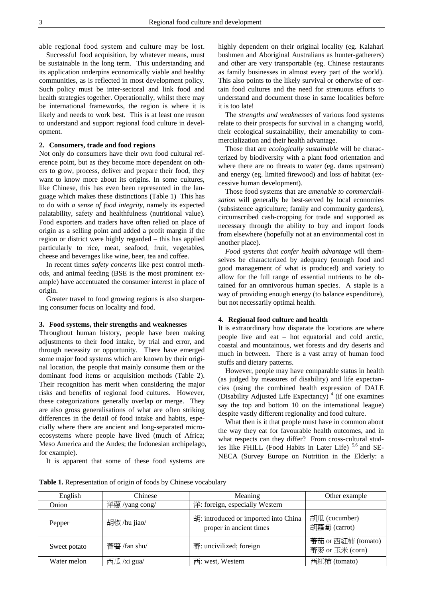able regional food system and culture may be lost.

Successful food acquisition, by whatever means, must be sustainable in the long term. This understanding and its application underpins economically viable and healthy communities, as is reflected in most development policy. Such policy must be inter-sectoral and link food and health strategies together. Operationally, whilst there may be international frameworks, the region is where it is likely and needs to work best. This is at least one reason to understand and support regional food culture in development.

#### **2. Consumers, trade and food regions**

Not only do consumers have their own food cultural reference point, but as they become more dependent on others to grow, process, deliver and prepare their food, they want to know more about its origins. In some cultures, like Chinese, this has even been represented in the language which makes these distinctions (Table 1) This has to do with *a sense of food integrity*, namely its expected palatability, safety and healthfulness (nutritional value). Food exporters and traders have often relied on place of origin as a selling point and added a profit margin if the region or district were highly regarded – this has applied particularly to rice, meat, seafood, fruit, vegetables, cheese and beverages like wine, beer, tea and coffee.

In recent times *safety concerns* like pest control methods, and animal feeding (BSE is the most prominent example) have accentuated the consumer interest in place of origin.

Greater travel to food growing regions is also sharpening consumer focus on locality and food.

#### **3. Food systems, their strengths and weaknesses**

Throughout human history, people have been making adjustments to their food intake, by trial and error, and through necessity or opportunity. There have emerged some major food systems which are known by their original location, the people that mainly consume them or the dominant food items or acquisition methods (Table 2). Their recognition has merit when considering the major risks and benefits of regional food cultures. However, these categorizations generally overlap or merge. They are also gross generalisations of what are often striking differences in the detail of food intake and habits, especially where there are ancient and long-separated microecosystems where people have lived (much of Africa; Meso America and the Andes; the Indonesian archipelago, for example).

It is apparent that some of these food systems are

highly dependent on their original locality (eg. Kalahari bushmen and Aboriginal Australians as hunter-gatherers) and other are very transportable (eg. Chinese restaurants as family businesses in almost every part of the world). This also points to the likely survival or otherwise of certain food cultures and the need for strenuous efforts to understand and document those in same localities before it is too late!

The *strengths and weaknesses* of various food systems relate to their prospects for survival in a changing world, their ecological sustainability, their amenability to commercialization and their health advantage.

Those that are *ecologically sustainable* will be characterized by biodiversity with a plant food orientation and where there are no threats to water (eg. dams upstream) and energy (eg. limited firewood) and loss of habitat (excessive human development).

Those food systems that are *amenable to commercialisation* will generally be best-served by local economies (subsistence agriculture; family and community gardens), circumscribed cash-cropping for trade and supported as necessary through the ability to buy and import foods from elsewhere (hopefully not at an environmental cost in another place).

*Food systems that confer health advantage* will themselves be characterized by adequacy (enough food and good management of what is produced) and variety to allow for the full range of essential nutrients to be obtained for an omnivorous human species. A staple is a way of providing enough energy (to balance expenditure), but not necessarily optimal health.

#### **4. Regional food culture and health**

It is extraordinary how disparate the locations are where people live and eat – hot equatorial and cold arctic, coastal and mountainous, wet forests and dry deserts and much in between. There is a vast array of human food stuffs and dietary patterns.

However, people may have comparable status in health (as judged by measures of disability) and life expectancies (using the combined health expression of DALE (Disability Adjusted Life Expectancy)<sup>4</sup> (if one examines say the top and bottom 10 on the international league) despite vastly different regionality and food culture.

What then is it that people must have in common about the way they eat for favourable health outcomes, and in what respects can they differ? From cross-cultural studies like FHILL (Food Habits in Later Life)<sup>5,6</sup> and SE-NECA (Survey Europe on Nutrition in the Elderly: a

**Table 1.** Representation of origin of foods by Chinese vocabulary

| English      | Chinese        | Meaning                                                         | Other example                         |
|--------------|----------------|-----------------------------------------------------------------|---------------------------------------|
| Onion        | 洋蔥 /yang cong/ | 洋: foreign, especially Western                                  |                                       |
| Pepper       | 胡椒/hu jiao/    | 胡: introduced or imported into China<br>proper in ancient times | 胡瓜 (cucumber)<br>胡蘿蔔 (carrot)         |
| Sweet potato | 蕃薯 /fan shu/   | 蕃: uncivilized; foreign                                         | 蕃茄 or 西紅柿 (tomato)<br>蕃麥 or 玉米 (corn) |
| Water melon  | 西瓜 /xi gua/    | $\overline{E}$ : west, Western                                  | 西紅柿 (tomato)                          |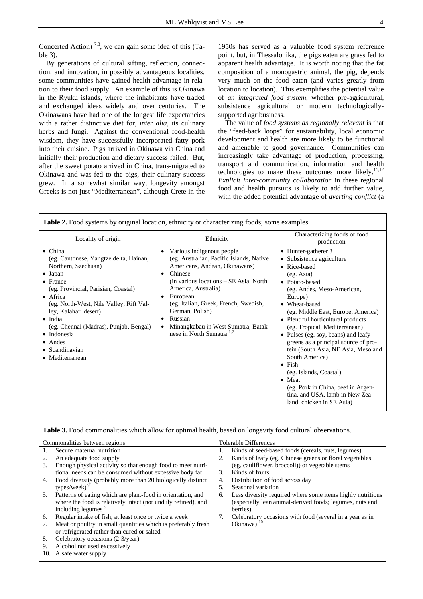Concerted Action)<sup>7,8</sup>, we can gain some idea of this  $(Ta$ ble 3).

By generations of cultural sifting, reflection, connection, and innovation, in possibly advantageous localities, some communities have gained health advantage in relation to their food supply. An example of this is Okinawa in the Ryuku islands, where the inhabitants have traded and exchanged ideas widely and over centuries. The Okinawans have had one of the longest life expectancies with a rather distinctive diet for, *inter alia*, its culinary herbs and fungi. Against the conventional food-health wisdom, they have successfully incorporated fatty pork into their cuisine. Pigs arrived in Okinawa via China and initially their production and dietary success failed. But, after the sweet potato arrived in China, trans-migrated to Okinawa and was fed to the pigs, their culinary success grew. In a somewhat similar way, longevity amongst Greeks is not just "Mediterranean", although Crete in the

1950s has served as a valuable food system reference point, but, in Thessalonika, the pigs eaten are grass fed to apparent health advantage. It is worth noting that the fat composition of a monogastric animal, the pig, depends very much on the food eaten (and varies greatly from location to location). This exemplifies the potential value of *an integrated food system*, whether pre-agricultural, subsistence agricultural or modern technologicallysupported agribusiness.

The value of *food systems as regionally relevant* is that the "feed-back loops" for sustainability, local economic development and health are more likely to be functional and amenable to good governance. Communities can increasingly take advantage of production, processing, transport and communication, information and health technologies to make these outcomes more likely. $11,12$ *Explicit inter-community collaboration* in these regional food and health pursuits is likely to add further value, with the added potential advantage of *averting conflict* (a

| Table 2. Food systems by original location, ethnicity or characterizing foods; some examples                                                                                                                                                                                                                                                                                       |                                                                                                                                                                                                                                                                                                                                                                             |                                                                                                                                                                                                                                                                                                                                                                                                                                                                                                                                                                                     |  |  |
|------------------------------------------------------------------------------------------------------------------------------------------------------------------------------------------------------------------------------------------------------------------------------------------------------------------------------------------------------------------------------------|-----------------------------------------------------------------------------------------------------------------------------------------------------------------------------------------------------------------------------------------------------------------------------------------------------------------------------------------------------------------------------|-------------------------------------------------------------------------------------------------------------------------------------------------------------------------------------------------------------------------------------------------------------------------------------------------------------------------------------------------------------------------------------------------------------------------------------------------------------------------------------------------------------------------------------------------------------------------------------|--|--|
| Locality of origin                                                                                                                                                                                                                                                                                                                                                                 | Ethnicity                                                                                                                                                                                                                                                                                                                                                                   | Characterizing foods or food<br>production                                                                                                                                                                                                                                                                                                                                                                                                                                                                                                                                          |  |  |
| $\bullet$ China<br>(eg. Cantonese, Yangtze delta, Hainan,<br>Northern, Szechuan)<br>• Japan<br>$\bullet$ France<br>(eg. Provincial, Parisian, Coastal)<br>• Africa<br>(eg. North-West, Nile Valley, Rift Val-<br>ley, Kalahari desert)<br>$\bullet$ India<br>(eg. Chennai (Madras), Punjab, Bengal)<br>• Indonesia<br>$\bullet$ Andes<br>$\bullet$ Scandinavian<br>• Mediterranean | Various indigenous people<br>$\bullet$<br>(eg. Australian, Pacific Islands, Native<br>Americans, Andean, Okinawans)<br>Chinese<br>٠<br>(in various locations – SE Asia, North)<br>America, Australia)<br>European<br>٠<br>(eg. Italian, Greek, French, Swedish,<br>German, Polish)<br>Russian<br>٠<br>Minangkabau in West Sumatra; Batak-<br>nese in North Sumatra $^{1,2}$ | • Hunter-gatherer 3<br>• Subsistence agriculture<br>• Rice-based<br>(eg. Asia)<br>• Potato-based<br>(eg. Andes, Meso-American,<br>Europe)<br>• Wheat-based<br>(eg. Middle East, Europe, America)<br>• Plentiful horticultural products<br>(eg. Tropical, Mediterranean)<br>• Pulses (eg. soy, beans) and leafy<br>greens as a principal source of pro-<br>tein (South Asia, NE Asia, Meso and<br>South America)<br>$\bullet$ Fish<br>(eg. Islands, Coastal)<br>$\bullet$ Meat<br>(eg. Pork in China, beef in Argen-<br>tina, and USA, lamb in New Zea-<br>land, chicken in SE Asia) |  |  |

| Table 3. Food commonalities which allow for optimal health, based on longevity food cultural observations. |                                                                  |  |  |  |
|------------------------------------------------------------------------------------------------------------|------------------------------------------------------------------|--|--|--|
| Commonalities between regions                                                                              | Tolerable Differences                                            |  |  |  |
| Secure maternal nutrition<br>1.                                                                            | Kinds of seed-based foods (cereals, nuts, legumes)<br>Ι.         |  |  |  |
| An adequate food supply<br>2.                                                                              | Kinds of leafy (eg. Chinese greens or floral vegetables          |  |  |  |
| Enough physical activity so that enough food to meet nutri-<br>3.                                          | (eg. cauliflower, broccoli)) or vegetable stems                  |  |  |  |
| tional needs can be consumed without excessive body fat                                                    | Kinds of fruits<br>3.                                            |  |  |  |
| Food diversity (probably more than 20 biologically distinct<br>4.                                          | Distribution of food across day<br>4.                            |  |  |  |
| types/week) $9$                                                                                            | Seasonal variation<br>.5.                                        |  |  |  |
| Patterns of eating which are plant-food in orientation, and<br>5.                                          | Less diversity required where some items highly nutritious<br>6. |  |  |  |
| where the food is relatively intact (not unduly refined), and                                              | (especially lean animal-derived foods; legumes, nuts and         |  |  |  |
| including legumes <sup>5</sup>                                                                             | berries)                                                         |  |  |  |
| Regular intake of fish, at least once or twice a week<br>6.                                                | Celebratory occasions with food (several in a year as in<br>7.   |  |  |  |
| Meat or poultry in small quantities which is preferably fresh<br>7.                                        | Okinawa) $10$                                                    |  |  |  |
| or refrigerated rather than cured or salted                                                                |                                                                  |  |  |  |
| Celebratory occasions (2-3/year)<br>8.                                                                     |                                                                  |  |  |  |
| Alcohol not used excessively<br>9.                                                                         |                                                                  |  |  |  |
| A safe water supply<br>10.                                                                                 |                                                                  |  |  |  |
|                                                                                                            |                                                                  |  |  |  |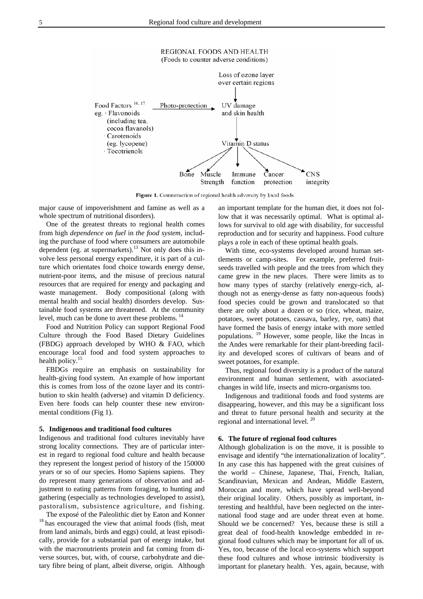

Figure 1. Counteraction of regional health adversity by local foods

major cause of impoverishment and famine as well as a whole spectrum of nutritional disorders).

One of the greatest threats to regional health comes from high *dependence on fuel* in *the food system*, including the purchase of food where consumers are automobile dependent (eg. at supermarkets).<sup>13</sup> Not only does this involve less personal energy expenditure, it is part of a culture which orientates food choice towards energy dense, nutrient-poor items, and the misuse of precious natural resources that are required for energy and packaging and waste management. Body compositional (along with mental health and social health) disorders develop. Sustainable food systems are threatened. At the community level, much can be done to avert these problems. 14

Food and Nutrition Policy can support Regional Food Culture through the Food Based Dietary Guidelines (FBDG) approach developed by WHO & FAO, which encourage local food and food system approaches to health policy.<sup>15</sup>

FBDGs require an emphasis on sustainability for health-giving food system. An example of how important this is comes from loss of the ozone layer and its contribution to skin health (adverse) and vitamin D deficiency. Even here foods can help counter these new environmental conditions (Fig 1).

#### **5. Indigenous and traditional food cultures**

Indigenous and traditional food cultures inevitably have strong locality connections. They are of particular interest in regard to regional food culture and health because they represent the longest period of history of the 150000 years or so of our species. Homo Sapiens sapiens. They do represent many generations of observation and adjustment to eating patterns from foraging, to hunting and gathering (especially as technologies developed to assist), pastoralism, subsistence agriculture, and fishing.

The exposé of the Paleolithic diet by Eaton and Konner 18 has encouraged the view that animal foods (fish, meat from land animals, birds and eggs) could, at least episodically, provide for a substantial part of energy intake, but with the macronutrients protein and fat coming from diverse sources, but, with, of course, carbohydrate and dietary fibre being of plant, albeit diverse, origin. Although

an important template for the human diet, it does not follow that it was necessarily optimal. What is optimal allows for survival to old age with disability, for successful reproduction and for security and happiness. Food culture plays a role in each of these optimal health goals.

With time, eco-systems developed around human settlements or camp-sites. For example, preferred fruitseeds travelled with people and the trees from which they came grew in the new places. There were limits as to how many types of starchy (relatively energy-rich, although not as energy-dense as fatty non-aqueous foods) food species could be grown and translocated so that there are only about a dozen or so (rice, wheat, maize, potatoes, sweet potatoes, cassava, barley, rye, oats) that have formed the basis of energy intake with more settled populations. 19 However, some people, like the Incas in the Andes were remarkable for their plant-breeding facility and developed scores of cultivars of beans and of sweet potatoes, for example.

Thus, regional food diversity is a product of the natural environment and human settlement, with associatedchanges in wild life, insects and micro-organisms too.

Indigenous and traditional foods and food systems are disappearing, however, and this may be a significant loss and threat to future personal health and security at the regional and international level. 20

#### **6. The future of regional food cultures**

Although globalization is on the move, it is possible to envisage and identify "the internationalization of locality". In any case this has happened with the great cuisines of the world – Chinese, Japanese, Thai, French, Italian, Scandinavian, Mexican and Andean, Middle Eastern, Moroccan and more, which have spread well-beyond their original locality. Others, possibly as important, interesting and healthful, have been neglected on the international food stage and are under threat even at home. Should we be concerned? Yes, because these is still a great deal of food-health knowledge embedded in regional food cultures which may be important for all of us. Yes, too, because of the local eco-systems which support these food cultures and whose intrinsic biodiversity is important for planetary health. Yes, again, because, with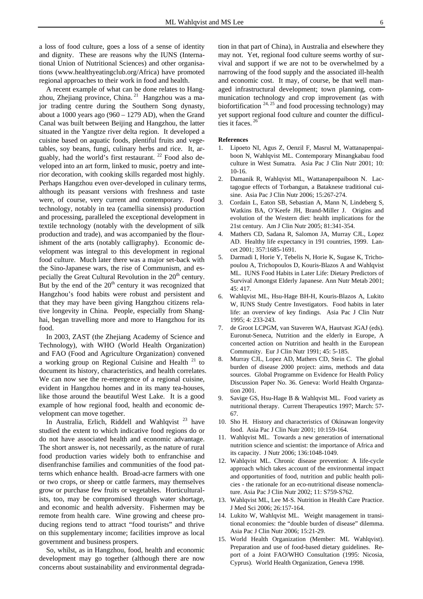a loss of food culture, goes a loss of a sense of identity and dignity. These are reasons why the IUNS (International Union of Nutritional Sciences) and other organisations (www.healthyeatingclub.org/Africa) have promoted regional approaches to their work in food and health.

A recent example of what can be done relates to Hangzhou, Zhejiang province, China.<sup>21</sup> Hangzhou was a major trading centre during the Southern Song dynasty, about a 1000 years ago  $(960 - 1279$  AD), when the Grand Canal was built between Beijing and Hangzhou, the latter situated in the Yangtze river delta region. It developed a cuisine based on aquatic foods, plentiful fruits and vegetables, soy beans, fungi, culinary herbs and rice. It, arguably, had the world's first restaurant.  $^{22}$  Food also developed into an art form, linked to music, poetry and interior decoration, with cooking skills regarded most highly. Perhaps Hangzhou even over-developed in culinary terms, although its peasant versions with freshness and taste were, of course, very current and contemporary. Food technology, notably in tea (camellia sinensis) production and processing, paralleled the exceptional development in textile technology (notably with the development of silk production and trade), and was accompanied by the flourishment of the arts (notably calligraphy). Economic development was integral to this development in regional food culture. Much later there was a major set-back with the Sino-Japanese wars, the rise of Communism, and especially the Great Cultural Revolution in the  $20<sup>th</sup>$  century. But by the end of the  $20<sup>th</sup>$  century it was recognized that Hangzhou's food habits were robust and persistent and that they may have been giving Hangzhou citizens relative longevity in China. People, especially from Shanghai, began travelling more and more to Hangzhou for its food.

In 2003, ZAST (the Zhejiang Academy of Science and Technology), with WHO (World Health Organization) and FAO (Food and Agriculture Organization) convened a working group on Regional Cuisine and Health  $21$  to document its history, characteristics, and health correlates. We can now see the re-emergence of a regional cuisine, evident in Hangzhou homes and in its many tea-houses, like those around the beautiful West Lake. It is a good example of how regional food, health and economic development can move together.

In Australia, Erlich, Riddell and Wahlqvist  $^{23}$  have studied the extent to which indicative food regions do or do not have associated health and economic advantage. The short answer is, not necessarily, as the nature of rural food production varies widely both to enfranchise and disenfranchise families and communities of the food patterns which enhance health. Broad-acre farmers with one or two crops, or sheep or cattle farmers, may themselves grow or purchase few fruits or vegetables. Horticulturalists, too, may be compromised through water shortage, and economic and health adversity. Fishermen may be remote from health care. Wine growing and cheese producing regions tend to attract "food tourists" and thrive on this supplementary income; facilities improve as local government and business prospers.

So, whilst, as in Hangzhou, food, health and economic development may go together (although there are now concerns about sustainability and environmental degradation in that part of China), in Australia and elsewhere they may not. Yet, regional food culture seems worthy of survival and support if we are not to be overwhelmed by a narrowing of the food supply and the associated ill-health and economic cost. It may, of course, be that well managed infrastructural development; town planning, communication technology and crop improvement (as with biofortification  $24, 25$  and food processing technology) may yet support regional food culture and counter the difficulties it faces.<sup>26</sup>

#### **References**

- 1. Lipoeto NI, Agus Z, Oenzil F, Masrul M, Wattanapenpaiboon N, Wahlqvist ML. Contemporary Minangkabau food culture in West Sumatra. Asia Pac J Clin Nutr 2001; 10: 10-16.
- 2. Damanik R, Wahlqvist ML, Wattanapenpaiboon N. Lactagogue effects of Torbangun, a Bataknese traditional cuisine. Asia Pac J Clin Nutr 2006; 15:267-274.
- 3. Cordain L, Eaton SB, Sebastian A, Mann N, Lindeberg S, Watkins BA, O'Keefe JH, Brand-Miller J. Origins and evolution of the Western diet: health implications for the 21st century. Am J Clin Nutr 2005; 81:341-354.
- 4. Mathers CD, Sadana R, Salomon JA, Murray CJL, Lopez AD. Healthy life expectancy in 191 countries, 1999. Lancet 2001; 357:1685-1691.
- 5. Darmadi I, Horie Y, Tebelis N, Horie K, Sugase K, Trichopoulou A, Trichopoulos D, Kouris-Blazos A and Wahlqvist ML. IUNS Food Habits in Later Life: Dietary Predictors of Survival Amongst Elderly Japanese. Ann Nutr Metab 2001; 45: 417.
- 6. Wahlqvist ML, Hsu-Hage BH-H, Kouris-Blazos A, Lukito W, IUNS Study Centre Investigators. Food habits in later life: an overview of key findings. Asia Pac J Clin Nutr 1995; 4: 233-243.
- 7. de Groot LCPGM, van Staveren WA, Hautvast JGAJ (eds). Euronut-Seneca, Nutrition and the elderly in Europe, A concerted action on Nutrition and health in the European Community. Eur J Clin Nutr 1991; 45: 5-185.
- 8. Murray CJL, Lopez AD, Mathers CD, Stein C. The global burden of disease 2000 project: aims, methods and data sources. Global Programme on Evidence for Health Policy Discussion Paper No. 36. Geneva: World Health Organzation 2001.
- 9. Savige GS, Hsu-Hage B & Wahlqvist ML. Food variety as nutritional therapy. Current Therapeutics 1997; March: 57- 67.
- 10. Sho H. History and characteristics of Okinawan longevity food. Asia Pac J Clin Nutr 2001; 10:159-164.
- 11. Wahlqvist ML. Towards a new generation of international nutrition science and scientist: the importance of Africa and its capacity. J Nutr 2006; 136:1048-1049.
- 12. Wahlqvist ML. Chronic disease prevention: A life-cycle approach which takes account of the environmental impact and opportunities of food, nutrition and public health policies - the rationale for an eco-nutritional disease nomenclature. Asia Pac J Clin Nutr 2002; 11: S759-S762.
- 13. Wahlqvist ML, Lee M-S. Nutrition in Health Care Practice. J Med Sci 2006; 26:157-164.
- 14. Lukito W, Wahlqvist ML. Weight management in transitional economies: the "double burden of disease" dilemma. Asia Pac J Clin Nutr 2006; 15:21-29.
- 15. World Health Organization (Member: ML Wahlqvist). Preparation and use of food-based dietary guidelines. Report of a Joint FAO/WHO Consultation (1995: Nicosia, Cyprus). World Health Organization, Geneva 1998.